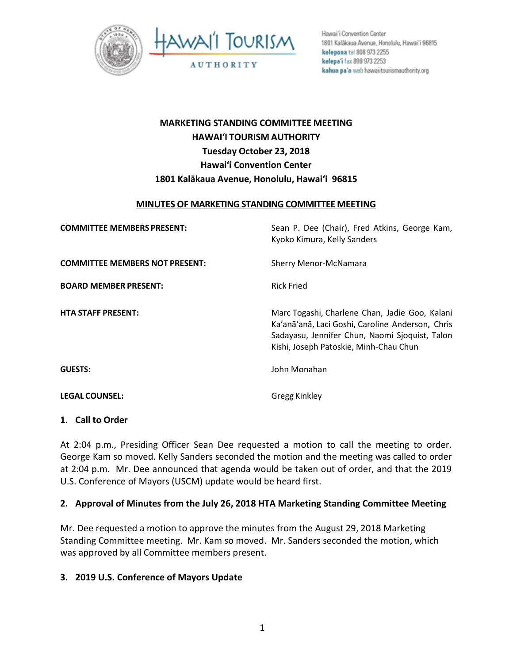

Hawai'i Convention Center 1801 Kalákaua Avenue, Honolulu, Hawai'i 96815 kelepona tel 808 973 2255 kelepa'i fax 808 973 2253 kahua pa'a web hawaiitourismauthority.org

# **MARKETING STANDING COMMITTEE MEETING HAWAI'I TOURISM AUTHORITY Tuesday October 23, 2018 Hawai'i Convention Center 1801 Kalākaua Avenue, Honolulu, Hawai'i 96815**

#### **MINUTES OF MARKETING STANDING COMMITTEE MEETING**

| <b>COMMITTEE MEMBERS PRESENT:</b>     | Sean P. Dee (Chair), Fred Atkins, George Kam,<br>Kyoko Kimura, Kelly Sanders                                                                                                                   |
|---------------------------------------|------------------------------------------------------------------------------------------------------------------------------------------------------------------------------------------------|
| <b>COMMITTEE MEMBERS NOT PRESENT:</b> | Sherry Menor-McNamara                                                                                                                                                                          |
| <b>BOARD MEMBER PRESENT:</b>          | <b>Rick Fried</b>                                                                                                                                                                              |
| <b>HTA STAFF PRESENT:</b>             | Marc Togashi, Charlene Chan, Jadie Goo, Kalani<br>Ka'anā'anā, Laci Goshi, Caroline Anderson, Chris<br>Sadayasu, Jennifer Chun, Naomi Sjoquist, Talon<br>Kishi, Joseph Patoskie, Minh-Chau Chun |
| <b>GUESTS:</b>                        | John Monahan                                                                                                                                                                                   |
| <b>LEGAL COUNSEL:</b>                 | <b>Gregg Kinkley</b>                                                                                                                                                                           |

#### **1. Call to Order**

At 2:04 p.m., Presiding Officer Sean Dee requested a motion to call the meeting to order. George Kam so moved. Kelly Sanders seconded the motion and the meeting was called to order at 2:04 p.m. Mr. Dee announced that agenda would be taken out of order, and that the 2019 U.S. Conference of Mayors (USCM) update would be heard first.

### **2. Approval of Minutes from the July 26, 2018 HTA Marketing Standing Committee Meeting**

Mr. Dee requested a motion to approve the minutes from the August 29, 2018 Marketing Standing Committee meeting. Mr. Kam so moved. Mr. Sanders seconded the motion, which was approved by all Committee members present.

### **3. 2019 U.S. Conference of Mayors Update**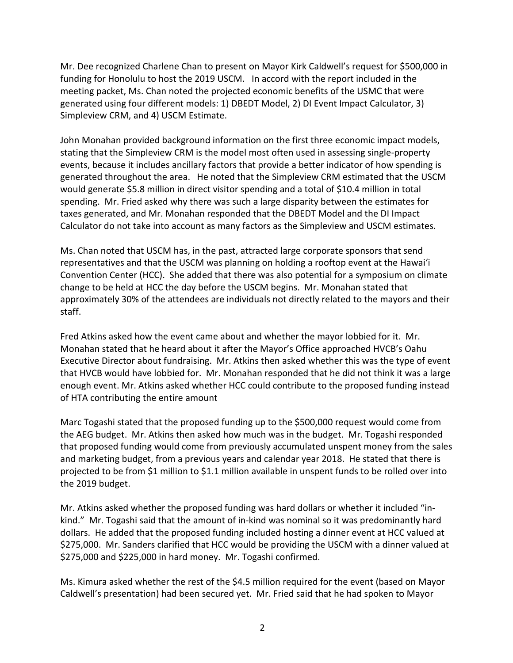Mr. Dee recognized Charlene Chan to present on Mayor Kirk Caldwell's request for \$500,000 in funding for Honolulu to host the 2019 USCM. In accord with the report included in the meeting packet, Ms. Chan noted the projected economic benefits of the USMC that were generated using four different models: 1) DBEDT Model, 2) DI Event Impact Calculator, 3) Simpleview CRM, and 4) USCM Estimate.

John Monahan provided background information on the first three economic impact models, stating that the Simpleview CRM is the model most often used in assessing single-property events, because it includes ancillary factors that provide a better indicator of how spending is generated throughout the area. He noted that the Simpleview CRM estimated that the USCM would generate \$5.8 million in direct visitor spending and a total of \$10.4 million in total spending. Mr. Fried asked why there was such a large disparity between the estimates for taxes generated, and Mr. Monahan responded that the DBEDT Model and the DI Impact Calculator do not take into account as many factors as the Simpleview and USCM estimates.

Ms. Chan noted that USCM has, in the past, attracted large corporate sponsors that send representatives and that the USCM was planning on holding a rooftop event at the Hawai'i Convention Center (HCC). She added that there was also potential for a symposium on climate change to be held at HCC the day before the USCM begins. Mr. Monahan stated that approximately 30% of the attendees are individuals not directly related to the mayors and their staff.

Fred Atkins asked how the event came about and whether the mayor lobbied for it. Mr. Monahan stated that he heard about it after the Mayor's Office approached HVCB's Oahu Executive Director about fundraising. Mr. Atkins then asked whether this was the type of event that HVCB would have lobbied for. Mr. Monahan responded that he did not think it was a large enough event. Mr. Atkins asked whether HCC could contribute to the proposed funding instead of HTA contributing the entire amount

Marc Togashi stated that the proposed funding up to the \$500,000 request would come from the AEG budget. Mr. Atkins then asked how much was in the budget. Mr. Togashi responded that proposed funding would come from previously accumulated unspent money from the sales and marketing budget, from a previous years and calendar year 2018. He stated that there is projected to be from \$1 million to \$1.1 million available in unspent funds to be rolled over into the 2019 budget.

Mr. Atkins asked whether the proposed funding was hard dollars or whether it included "inkind." Mr. Togashi said that the amount of in-kind was nominal so it was predominantly hard dollars. He added that the proposed funding included hosting a dinner event at HCC valued at \$275,000. Mr. Sanders clarified that HCC would be providing the USCM with a dinner valued at \$275,000 and \$225,000 in hard money. Mr. Togashi confirmed.

Ms. Kimura asked whether the rest of the \$4.5 million required for the event (based on Mayor Caldwell's presentation) had been secured yet. Mr. Fried said that he had spoken to Mayor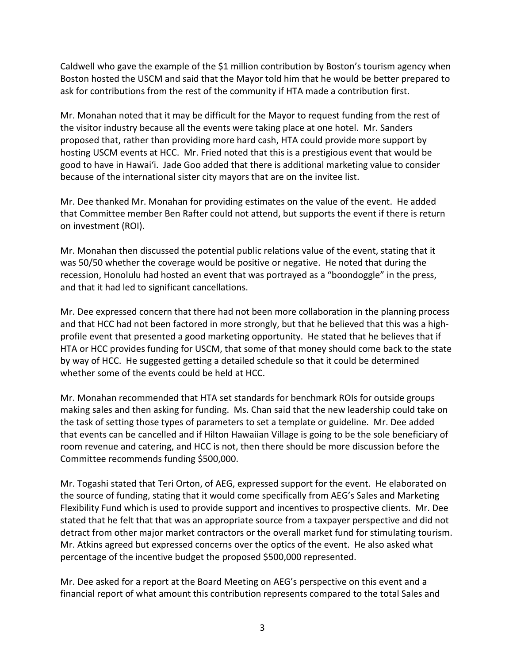Caldwell who gave the example of the \$1 million contribution by Boston's tourism agency when Boston hosted the USCM and said that the Mayor told him that he would be better prepared to ask for contributions from the rest of the community if HTA made a contribution first.

Mr. Monahan noted that it may be difficult for the Mayor to request funding from the rest of the visitor industry because all the events were taking place at one hotel. Mr. Sanders proposed that, rather than providing more hard cash, HTA could provide more support by hosting USCM events at HCC. Mr. Fried noted that this is a prestigious event that would be good to have in Hawai'i. Jade Goo added that there is additional marketing value to consider because of the international sister city mayors that are on the invitee list.

Mr. Dee thanked Mr. Monahan for providing estimates on the value of the event. He added that Committee member Ben Rafter could not attend, but supports the event if there is return on investment (ROI).

Mr. Monahan then discussed the potential public relations value of the event, stating that it was 50/50 whether the coverage would be positive or negative. He noted that during the recession, Honolulu had hosted an event that was portrayed as a "boondoggle" in the press, and that it had led to significant cancellations.

Mr. Dee expressed concern that there had not been more collaboration in the planning process and that HCC had not been factored in more strongly, but that he believed that this was a highprofile event that presented a good marketing opportunity. He stated that he believes that if HTA or HCC provides funding for USCM, that some of that money should come back to the state by way of HCC. He suggested getting a detailed schedule so that it could be determined whether some of the events could be held at HCC.

Mr. Monahan recommended that HTA set standards for benchmark ROIs for outside groups making sales and then asking for funding. Ms. Chan said that the new leadership could take on the task of setting those types of parameters to set a template or guideline. Mr. Dee added that events can be cancelled and if Hilton Hawaiian Village is going to be the sole beneficiary of room revenue and catering, and HCC is not, then there should be more discussion before the Committee recommends funding \$500,000.

Mr. Togashi stated that Teri Orton, of AEG, expressed support for the event. He elaborated on the source of funding, stating that it would come specifically from AEG's Sales and Marketing Flexibility Fund which is used to provide support and incentives to prospective clients. Mr. Dee stated that he felt that that was an appropriate source from a taxpayer perspective and did not detract from other major market contractors or the overall market fund for stimulating tourism. Mr. Atkins agreed but expressed concerns over the optics of the event. He also asked what percentage of the incentive budget the proposed \$500,000 represented.

Mr. Dee asked for a report at the Board Meeting on AEG's perspective on this event and a financial report of what amount this contribution represents compared to the total Sales and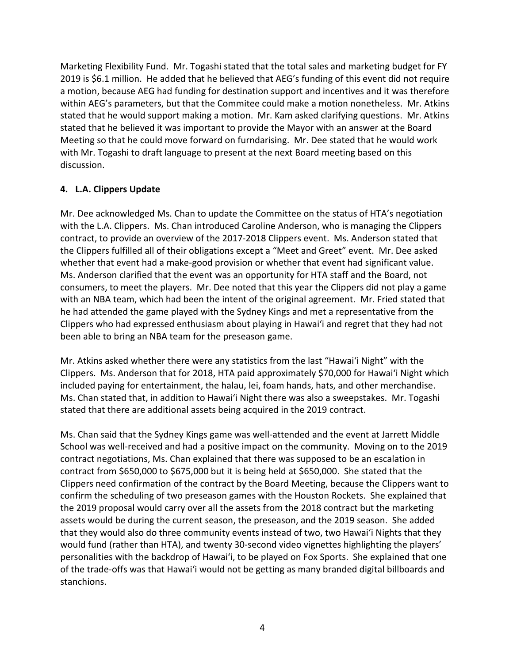Marketing Flexibility Fund. Mr. Togashi stated that the total sales and marketing budget for FY 2019 is \$6.1 million. He added that he believed that AEG's funding of this event did not require a motion, because AEG had funding for destination support and incentives and it was therefore within AEG's parameters, but that the Commitee could make a motion nonetheless. Mr. Atkins stated that he would support making a motion. Mr. Kam asked clarifying questions. Mr. Atkins stated that he believed it was important to provide the Mayor with an answer at the Board Meeting so that he could move forward on furndarising. Mr. Dee stated that he would work with Mr. Togashi to draft language to present at the next Board meeting based on this discussion.

## **4. L.A. Clippers Update**

Mr. Dee acknowledged Ms. Chan to update the Committee on the status of HTA's negotiation with the L.A. Clippers. Ms. Chan introduced Caroline Anderson, who is managing the Clippers contract, to provide an overview of the 2017-2018 Clippers event. Ms. Anderson stated that the Clippers fulfilled all of their obligations except a "Meet and Greet" event. Mr. Dee asked whether that event had a make-good provision or whether that event had significant value. Ms. Anderson clarified that the event was an opportunity for HTA staff and the Board, not consumers, to meet the players. Mr. Dee noted that this year the Clippers did not play a game with an NBA team, which had been the intent of the original agreement. Mr. Fried stated that he had attended the game played with the Sydney Kings and met a representative from the Clippers who had expressed enthusiasm about playing in Hawai'i and regret that they had not been able to bring an NBA team for the preseason game.

Mr. Atkins asked whether there were any statistics from the last "Hawai'i Night" with the Clippers. Ms. Anderson that for 2018, HTA paid approximately \$70,000 for Hawai'i Night which included paying for entertainment, the halau, lei, foam hands, hats, and other merchandise. Ms. Chan stated that, in addition to Hawai'i Night there was also a sweepstakes. Mr. Togashi stated that there are additional assets being acquired in the 2019 contract.

Ms. Chan said that the Sydney Kings game was well-attended and the event at Jarrett Middle School was well-received and had a positive impact on the community. Moving on to the 2019 contract negotiations, Ms. Chan explained that there was supposed to be an escalation in contract from \$650,000 to \$675,000 but it is being held at \$650,000. She stated that the Clippers need confirmation of the contract by the Board Meeting, because the Clippers want to confirm the scheduling of two preseason games with the Houston Rockets. She explained that the 2019 proposal would carry over all the assets from the 2018 contract but the marketing assets would be during the current season, the preseason, and the 2019 season. She added that they would also do three community events instead of two, two Hawai'i Nights that they would fund (rather than HTA), and twenty 30-second video vignettes highlighting the players' personalities with the backdrop of Hawai'i, to be played on Fox Sports. She explained that one of the trade-offs was that Hawai'i would not be getting as many branded digital billboards and stanchions.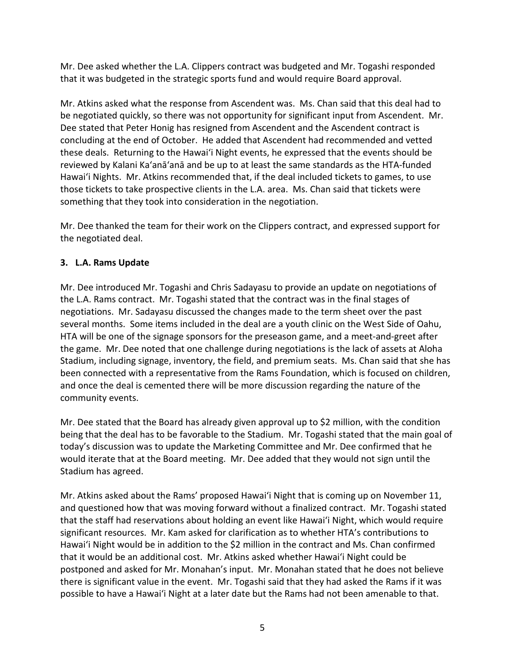Mr. Dee asked whether the L.A. Clippers contract was budgeted and Mr. Togashi responded that it was budgeted in the strategic sports fund and would require Board approval.

Mr. Atkins asked what the response from Ascendent was. Ms. Chan said that this deal had to be negotiated quickly, so there was not opportunity for significant input from Ascendent. Mr. Dee stated that Peter Honig has resigned from Ascendent and the Ascendent contract is concluding at the end of October. He added that Ascendent had recommended and vetted these deals. Returning to the Hawai'i Night events, he expressed that the events should be reviewed by Kalani Ka'anā'anā and be up to at least the same standards as the HTA-funded Hawai'i Nights. Mr. Atkins recommended that, if the deal included tickets to games, to use those tickets to take prospective clients in the L.A. area. Ms. Chan said that tickets were something that they took into consideration in the negotiation.

Mr. Dee thanked the team for their work on the Clippers contract, and expressed support for the negotiated deal.

# **3. L.A. Rams Update**

Mr. Dee introduced Mr. Togashi and Chris Sadayasu to provide an update on negotiations of the L.A. Rams contract. Mr. Togashi stated that the contract was in the final stages of negotiations. Mr. Sadayasu discussed the changes made to the term sheet over the past several months. Some items included in the deal are a youth clinic on the West Side of Oahu, HTA will be one of the signage sponsors for the preseason game, and a meet-and-greet after the game. Mr. Dee noted that one challenge during negotiations is the lack of assets at Aloha Stadium, including signage, inventory, the field, and premium seats. Ms. Chan said that she has been connected with a representative from the Rams Foundation, which is focused on children, and once the deal is cemented there will be more discussion regarding the nature of the community events.

Mr. Dee stated that the Board has already given approval up to \$2 million, with the condition being that the deal has to be favorable to the Stadium. Mr. Togashi stated that the main goal of today's discussion was to update the Marketing Committee and Mr. Dee confirmed that he would iterate that at the Board meeting. Mr. Dee added that they would not sign until the Stadium has agreed.

Mr. Atkins asked about the Rams' proposed Hawai'i Night that is coming up on November 11, and questioned how that was moving forward without a finalized contract. Mr. Togashi stated that the staff had reservations about holding an event like Hawai'i Night, which would require significant resources. Mr. Kam asked for clarification as to whether HTA's contributions to Hawai'i Night would be in addition to the \$2 million in the contract and Ms. Chan confirmed that it would be an additional cost. Mr. Atkins asked whether Hawai'i Night could be postponed and asked for Mr. Monahan's input. Mr. Monahan stated that he does not believe there is significant value in the event. Mr. Togashi said that they had asked the Rams if it was possible to have a Hawai'i Night at a later date but the Rams had not been amenable to that.